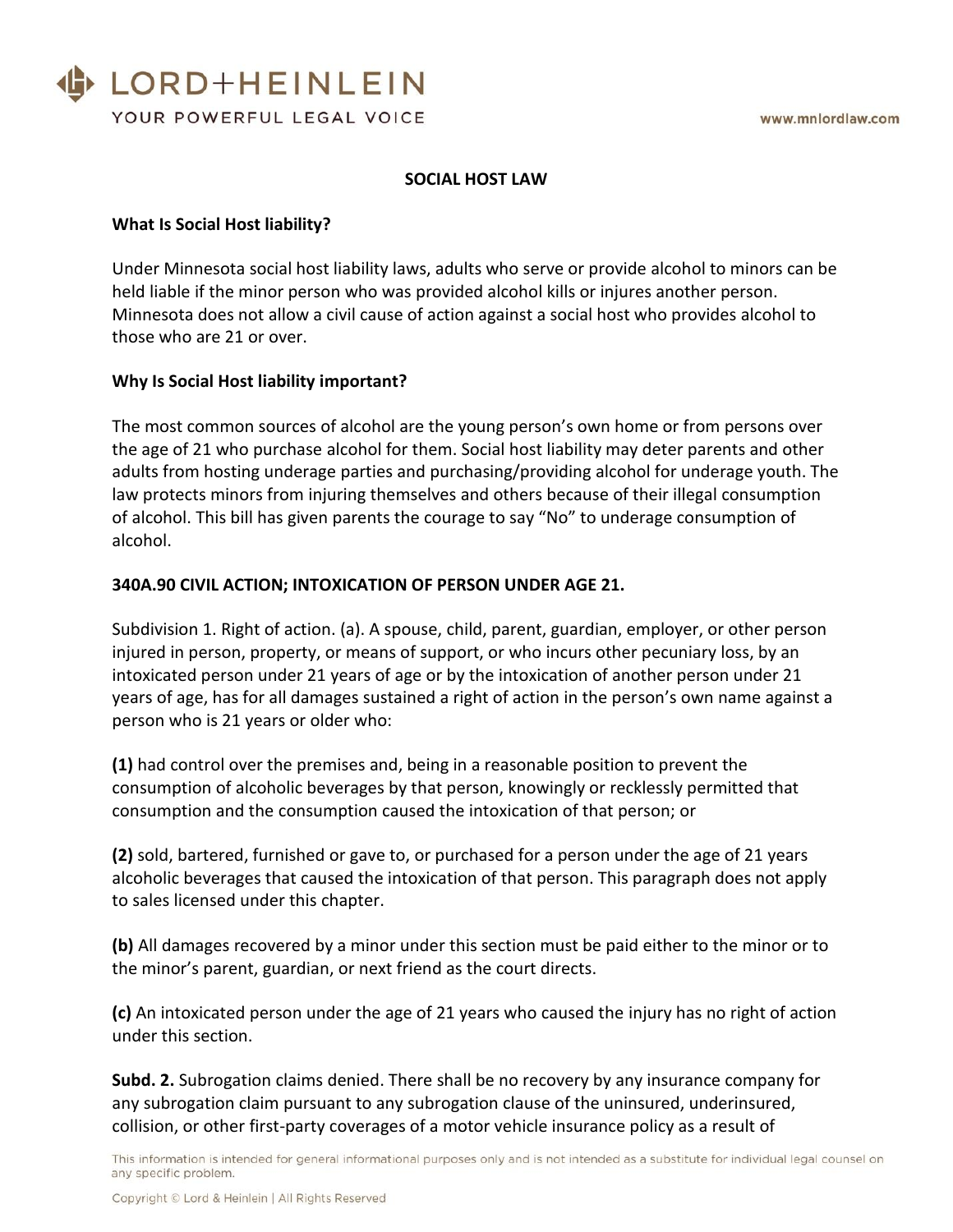

# **SOCIAL HOST LAW**

#### **What Is Social Host liability?**

Under Minnesota social host liability laws, adults who serve or provide alcohol to minors can be held liable if the minor person who was provided alcohol kills or injures another person. Minnesota does not allow a civil cause of action against a social host who provides alcohol to those who are 21 or over.

## **Why Is Social Host liability important?**

The most common sources of alcohol are the young person's own home or from persons over the age of 21 who purchase alcohol for them. Social host liability may deter parents and other adults from hosting underage parties and purchasing/providing alcohol for underage youth. The law protects minors from injuring themselves and others because of their illegal consumption of alcohol. This bill has given parents the courage to say "No" to underage consumption of alcohol.

#### **340A.90 CIVIL ACTION; INTOXICATION OF PERSON UNDER AGE 21.**

Subdivision 1. Right of action. (a). A spouse, child, parent, guardian, employer, or other person injured in person, property, or means of support, or who incurs other pecuniary loss, by an intoxicated person under 21 years of age or by the intoxication of another person under 21 years of age, has for all damages sustained a right of action in the person's own name against a person who is 21 years or older who:

**(1)** had control over the premises and, being in a reasonable position to prevent the consumption of alcoholic beverages by that person, knowingly or recklessly permitted that consumption and the consumption caused the intoxication of that person; or

**(2)** sold, bartered, furnished or gave to, or purchased for a person under the age of 21 years alcoholic beverages that caused the intoxication of that person. This paragraph does not apply to sales licensed under this chapter.

**(b)** All damages recovered by a minor under this section must be paid either to the minor or to the minor's parent, guardian, or next friend as the court directs.

**(c)** An intoxicated person under the age of 21 years who caused the injury has no right of action under this section.

**Subd. 2.** Subrogation claims denied. There shall be no recovery by any insurance company for any subrogation claim pursuant to any subrogation clause of the uninsured, underinsured, collision, or other first-party coverages of a motor vehicle insurance policy as a result of

This information is intended for general informational purposes only and is not intended as a substitute for individual legal counsel on any specific problem.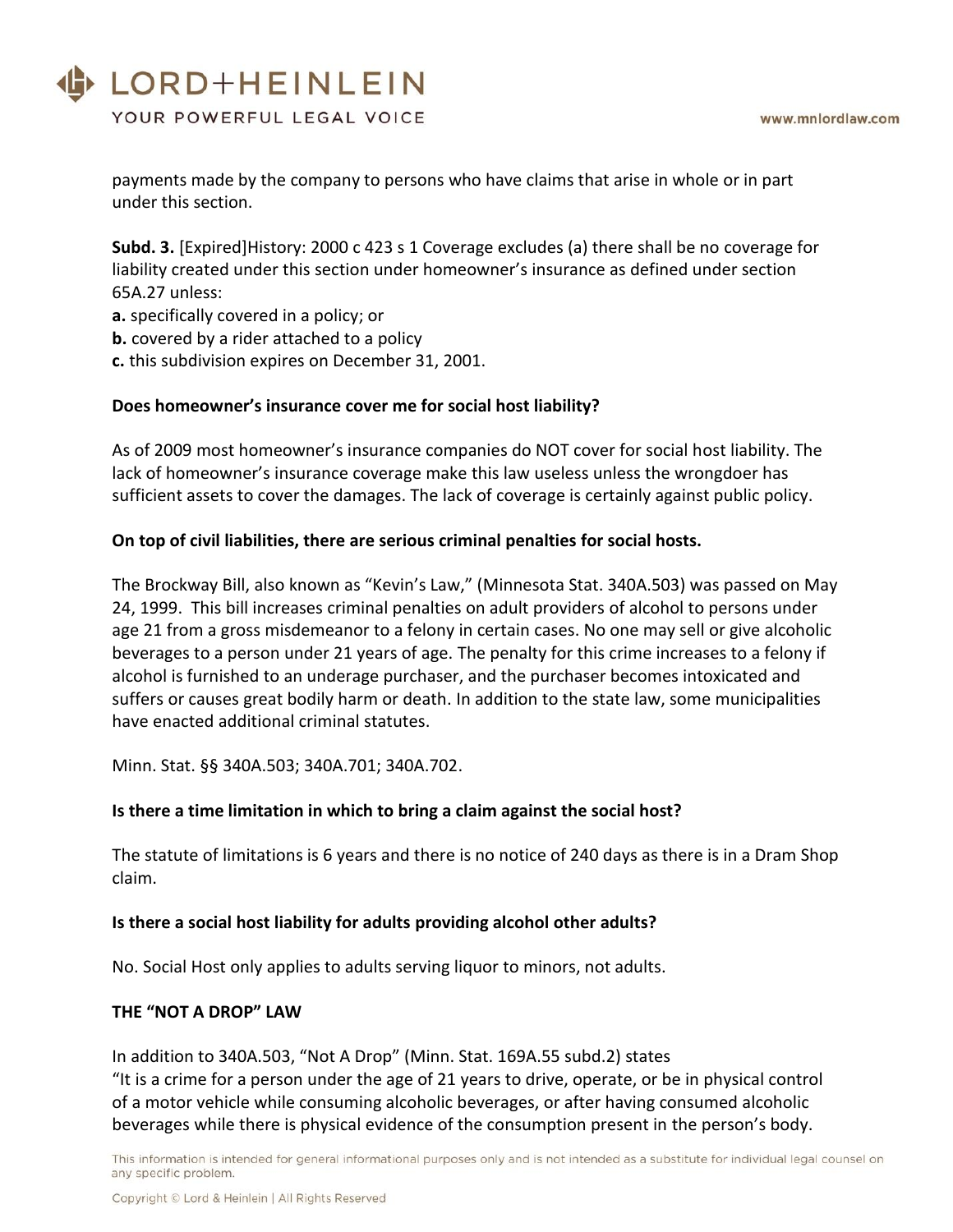# LORD+HEINLEIN

YOUR POWERFUL LEGAL VOICE

payments made by the company to persons who have claims that arise in whole or in part under this section.

**Subd. 3.** [Expired]History: 2000 c 423 s 1 Coverage excludes (a) there shall be no coverage for liability created under this section under homeowner's insurance as defined under section 65A.27 unless:

- **a.** specifically covered in a policy; or
- **b.** covered by a rider attached to a policy
- **c.** this subdivision expires on December 31, 2001.

## **Does homeowner's insurance cover me for social host liability?**

As of 2009 most homeowner's insurance companies do NOT cover for social host liability. The lack of homeowner's insurance coverage make this law useless unless the wrongdoer has sufficient assets to cover the damages. The lack of coverage is certainly against public policy.

## **On top of civil liabilities, there are serious criminal penalties for social hosts.**

The Brockway Bill, also known as "Kevin's Law," (Minnesota Stat. 340A.503) was passed on May 24, 1999. This bill increases criminal penalties on adult providers of alcohol to persons under age 21 from a gross misdemeanor to a felony in certain cases. No one may sell or give alcoholic beverages to a person under 21 years of age. The penalty for this crime increases to a felony if alcohol is furnished to an underage purchaser, and the purchaser becomes intoxicated and suffers or causes great bodily harm or death. In addition to the state law, some municipalities have enacted additional criminal statutes.

Minn. Stat. §§ 340A.503; 340A.701; 340A.702.

# **Is there a time limitation in which to bring a claim against the social host?**

The statute of limitations is 6 years and there is no notice of 240 days as there is in a Dram Shop claim.

#### **Is there a social host liability for adults providing alcohol other adults?**

No. Social Host only applies to adults serving liquor to minors, not adults.

#### **THE "NOT A DROP" LAW**

In addition to 340A.503, "Not A Drop" (Minn. Stat. 169A.55 subd.2) states "It is a crime for a person under the age of 21 years to drive, operate, or be in physical control of a motor vehicle while consuming alcoholic beverages, or after having consumed alcoholic beverages while there is physical evidence of the consumption present in the person's body.

This information is intended for general informational purposes only and is not intended as a substitute for individual legal counsel on any specific problem.